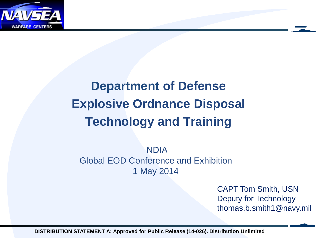

# **Department of Defense Explosive Ordnance Disposal Technology and Training**

### NDIA Global EOD Conference and Exhibition 1 May 2014

CAPT Tom Smith, USN Deputy for Technology thomas.b.smith1@navy.mil

**DISTRIBUTION STATEMENT A: Approved for Public Release (14****-026). Distribution Unlimited**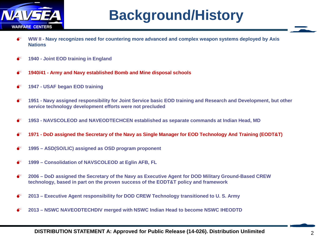

# **Background/History**

- **WW II - Navy recognizes need for countering more advanced and complex weapon systems deployed by Axis Nations**
- **1940 - Joint EOD training in England**
- **1940/41 - Army and Navy established Bomb and Mine disposal schools**
- **1947 - USAF began EOD training**
- **1951 - Navy assigned responsibility for Joint Service basic EOD training and Research and Development, but other service technology development efforts were not precluded**
- **1953 - NAVSCOLEOD and NAVEODTECHCEN established as separate commands at Indian Head, MD**
- **1971 - DoD assigned the Secretary of the Navy as Single Manager for EOD Technology And Training (EODT&T)**
- **1995 – ASD(SO/LIC) assigned as OSD program proponent**
- **1999 – Consolidation of NAVSCOLEOD at Eglin AFB, FL**
- **2006 – DoD assigned the Secretary of the Navy as Executive Agent for DOD Military Ground-Based CREW technology, based in part on the proven success of the EODT&T policy and framework**
- **2013 – Executive Agent responsibility for DOD CREW Technology transitioned to U. S. Army**
- **2013 – NSWC NAVEODTECHDIV merged with NSWC Indian Head to become NSWC IHEODTD**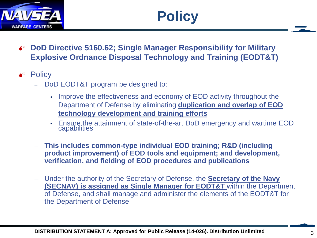

- **DoD Directive 5160.62; Single Manager Responsibility for Military Explosive Ordnance Disposal Technology and Training (EODT&T)**
- $\bullet$  Policy
	- DoD EODT&T program be designed to:
		- Improve the effectiveness and economy of EOD activity throughout the Department of Defense by eliminating **duplication and overlap of EOD technology development and training efforts**
		- Ensure the attainment of state-of-the-art DoD emergency and wartime EOD capabilities
	- **This includes common-type individual EOD training; R&D (including product improvement) of EOD tools and equipment; and development, verification, and fielding of EOD procedures and publications**
	- Under the authority of the Secretary of Defense, the **Secretary of the Navy (SECNAV) is assigned as Single Manager for EODT&T** within the Department of Defense, and shall manage and administer the elements of the EODT&T for the Department of Defense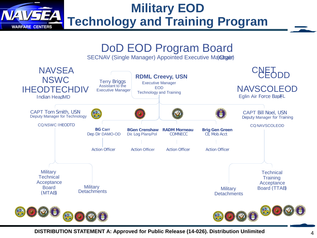

**DISTRIBUTION STATEMENT A: Approved for Public Release (14** 4 **-026). Distribution Unlimited**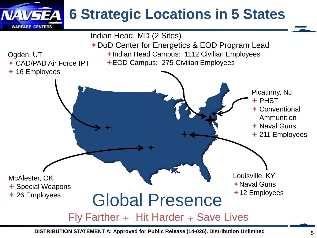# **6 Strategic Locations in 5 States**

NAWSEA

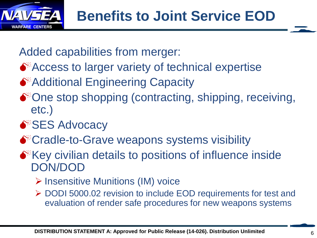

Added capabilities from merger:

- ◆ Access to larger variety of technical expertise
- Additional Engineering Capacity
- ◆<sup>※</sup>One stop shopping (contracting, shipping, receiving, etc.)
- G<sup><sup>\*</sup>SES Advocacy</sup>
- **Cradle-to-Grave weapons systems visibility**

 $\bullet$ <sup>\*</sup>Key civilian details to positions of influence inside DON/DOD

- $\triangleright$  Insensitive Munitions (IM) voice
- ▶ DODI 5000.02 revision to include EOD requirements for test and evaluation of render safe procedures for new weapons systems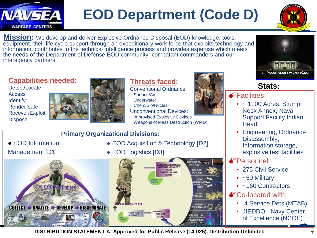

# **EOD Department (Code D)**



**Mission:** We develop and deliver Explosive Ordnance Disposal (EOD) knowledge, tools, equipment, their life cycle support through an expeditionary work force that exploits technology and information, contributes to the technical intelligence process and provides expertise which meets the needs of the Department of Defense EOD community, combatant commanders and our interagency partners.



#### **Capabilities needed:**

Detect/Locate Access **Identify** Render Safe Recover/Exploit **Dispose** 



### **Threats faced:**

Conventional Ordnance: Surface/Air **Underwater**  Chem/Bio/Nuclear Unconventional Devices: Improvised Explosive Devices Weapons of Mass Destruction (WMD)



#### <sup>■</sub>**Facilities:**</sup> **Stats:**

- $\bullet$  ~ 1100 Acres, Stump Neck Annex, Naval Support Facility Indian **Head**
- Engineering, Ordnance Disassembly, Information storage, explosive test facilities
- G<sup><sup>\*</sup>Personnel:</sup>
	- 275 Civil Service
	- ~50 Military
	- ~160 Contractors
- **Co-located with:** 
	- 4 Service Dets (MTAB)
	- JIEDDO Navy Center of Excellence (NCOE)
- EOD Information Management [D1]
- 

#### **Primary Organizational Divisions:**

- EOD Acquisition & Technology [D2]
- EOD Logistics [D3]



**DISTRIBUTION STATEMENT A: Approved for Public Release (14-026). Distribution Unlimited**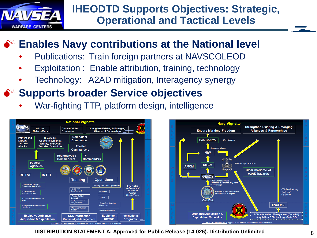

### **Enables Navy contributions at the National level**

- Publications: Train foreign partners at NAVSCOLEOD
- Exploitation : Enable attribution, training, technology
- Technology: A2AD mitigation, Interagency synergy

### **Supports broader Service objectives**

• War-fighting TTP, platform design, intelligence



**DISTRIBUTION STATEMENT A: Approved for Public Release (14-026). Distribution Unlimited**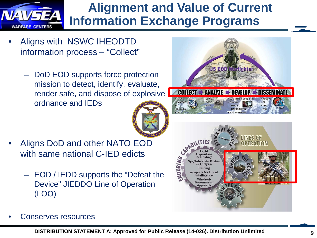

## **Alignment and Value of Current Information Exchange Programs**

- Aligns with NSWC IHEODTD information process – "Collect"
	- DoD EOD supports force protection mission to detect, identify, evaluate, render safe, and dispose of explosive ordnance and IEDs

- Aligns DoD and other NATO EOD with same national C-IED edicts
	- EOD / IEDD supports the "Defeat the Device" JIEDDO Line of Operation (LOO)



• Conserves resources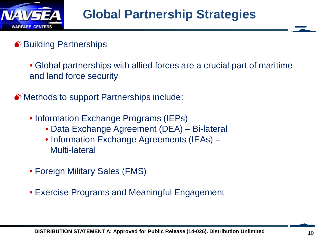

### $\bullet$ <sup>\*</sup>Building Partnerships

• Global partnerships with allied forces are a crucial part of maritime and land force security

**• Methods to support Partnerships include:** 

- Information Exchange Programs (IEPs)
	- Data Exchange Agreement (DEA) Bi-lateral
	- Information Exchange Agreements (IEAs) Multi-lateral
- Foreign Military Sales (FMS)
- Exercise Programs and Meaningful Engagement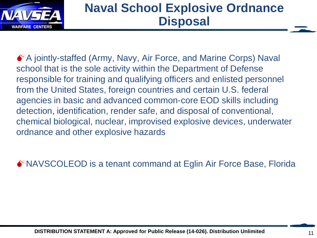

### **Naval School Explosive Ordnance Disposal**

A jointly-staffed (Army, Navy, Air Force, and Marine Corps) Naval school that is the sole activity within the Department of Defense responsible for training and qualifying officers and enlisted personnel from the United States, foreign countries and certain U.S. federal agencies in basic and advanced common-core EOD skills including detection, identification, render safe, and disposal of conventional, chemical biological, nuclear, improvised explosive devices, underwater ordnance and other explosive hazards

G<sup>\*</sup>NAVSCOLEOD is a tenant command at Eglin Air Force Base, Florida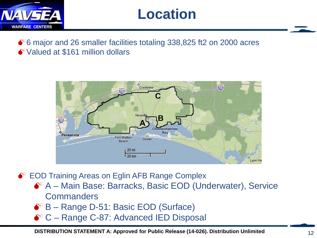

## **Location**

 $\bullet$  6 major and 26 smaller facilities totaling 338,825 ft2 on 2000 acres G<sup>\*</sup>Valued at \$161 million dollars



**■ EOD Training Areas on Eglin AFB Range Complex** 

- $\bullet^*$  A Main Base: Barracks, Basic EOD (Underwater), Service **Commanders**
- $\bullet^*$  B Range D-51: Basic EOD (Surface)
- $\bullet$   $\&$  C Range C-87: Advanced IED Disposal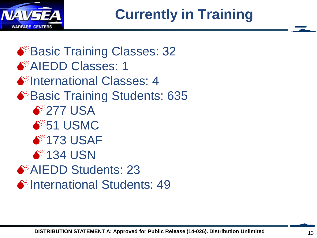

●<sup>※</sup>Basic Training Classes: 32 **CAIEDD Classes: 1** ■<sup>※</sup>International Classes: 4 ●<sup>※</sup>Basic Training Students: 635 **6<sup>***<del>∞</del>277 USA*</sup>  $\bullet$  $51$  USMC  $\bullet$  173 USAF  $\bullet$  134 USN **S**<sup>\*</sup>AIEDD Students: 23 ■<sup>※</sup>International Students: 49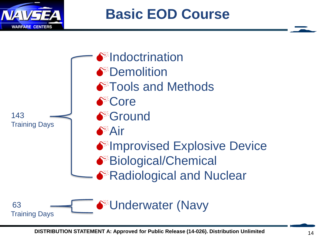

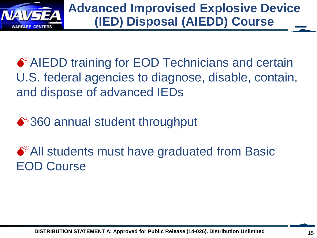

◆ AIEDD training for EOD Technicians and certain U.S. federal agencies to diagnose, disable, contain, and dispose of advanced IEDs

 $\bullet$  360 annual student throughput

◆ All students must have graduated from Basic EOD Course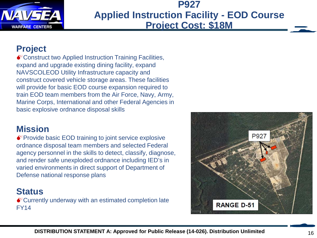

### **P927 Applied Instruction Facility - EOD Course Project Cost: \$18M**

### **Project**

**• Construct two Applied Instruction Training Facilities,** expand and upgrade existing dining facility, expand NAVSCOLEOD Utility Infrastructure capacity and construct covered vehicle storage areas. These facilities will provide for basic EOD course expansion required to train EOD team members from the Air Force, Navy, Army, Marine Corps, International and other Federal Agencies in basic explosive ordnance disposal skills

#### **Mission**

 $\bullet$ <sup>\*</sup> Provide basic EOD training to joint service explosive ordnance disposal team members and selected Federal agency personnel in the skills to detect, classify, diagnose, and render safe unexploded ordnance including IED's in varied environments in direct support of Department of Defense national response plans

### **Status**

**• Currently underway with an estimated completion late** FY14

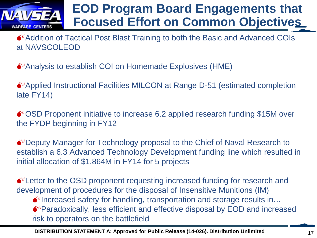

## **EOD Program Board Engagements that Focused Effort on Common Objectives**

◆ Addition of Tactical Post Blast Training to both the Basic and Advanced COIs at NAVSCOLEOD

Analysis to establish COI on Homemade Explosives (HME)

Applied Instructional Facilities MILCON at Range D-51 (estimated completion late FY14)

**• OSD Proponent initiative to increase 6.2 applied research funding \$15M over** the FYDP beginning in FY12

**• Deputy Manager for Technology proposal to the Chief of Naval Research to** establish a 6.3 Advanced Technology Development funding line which resulted in initial allocation of \$1.864M in FY14 for 5 projects

**• Example 1** Example 1 to the OSD proponent requesting increased funding for research and development of procedures for the disposal of Insensitive Munitions (IM)  $\bullet$  Increased safety for handling, transportation and storage results in... ● Paradoxically, less efficient and effective disposal by EOD and increased risk to operators on the battlefield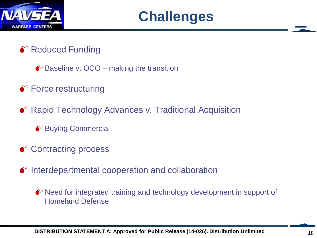

### $\bullet^*$  Reduced Funding

- $\bullet^*$  Baseline v. OCO making the transition
- $\bullet$ <sup>\*</sup> Force restructuring
- $\bullet^*$  Rapid Technology Advances v. Traditional Acquisition
	- **Buying Commercial**
- **S<sup><sup>‰</sup> Contracting process**</sup>
- $\bullet$ <sup> $\ast$ </sup> Interdepartmental cooperation and collaboration
	- $\bullet$  Need for integrated training and technology development in support of Homeland Defense